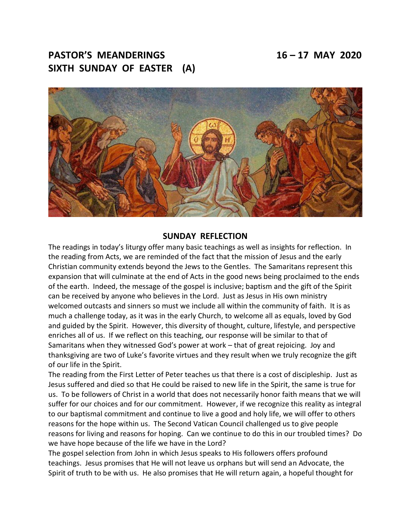# **PASTOR'S MEANDERINGS 16 – 17 MAY 2020 SIXTH SUNDAY OF EASTER (A)**



#### **SUNDAY REFLECTION**

The readings in today's liturgy offer many basic teachings as well as insights for reflection. In the reading from Acts, we are reminded of the fact that the mission of Jesus and the early Christian community extends beyond the Jews to the Gentles. The Samaritans represent this expansion that will culminate at the end of Acts in the good news being proclaimed to the ends of the earth. Indeed, the message of the gospel is inclusive; baptism and the gift of the Spirit can be received by anyone who believes in the Lord. Just as Jesus in His own ministry welcomed outcasts and sinners so must we include all within the community of faith. It is as much a challenge today, as it was in the early Church, to welcome all as equals, loved by God and guided by the Spirit. However, this diversity of thought, culture, lifestyle, and perspective enriches all of us. If we reflect on this teaching, our response will be similar to that of Samaritans when they witnessed God's power at work – that of great rejoicing. Joy and thanksgiving are two of Luke's favorite virtues and they result when we truly recognize the gift of our life in the Spirit.

The reading from the First Letter of Peter teaches us that there is a cost of discipleship. Just as Jesus suffered and died so that He could be raised to new life in the Spirit, the same is true for us. To be followers of Christ in a world that does not necessarily honor faith means that we will suffer for our choices and for our commitment. However, if we recognize this reality as integral to our baptismal commitment and continue to live a good and holy life, we will offer to others reasons for the hope within us. The Second Vatican Council challenged us to give people reasons for living and reasons for hoping. Can we continue to do this in our troubled times? Do we have hope because of the life we have in the Lord?

The gospel selection from John in which Jesus speaks to His followers offers profound teachings. Jesus promises that He will not leave us orphans but will send an Advocate, the Spirit of truth to be with us. He also promises that He will return again, a hopeful thought for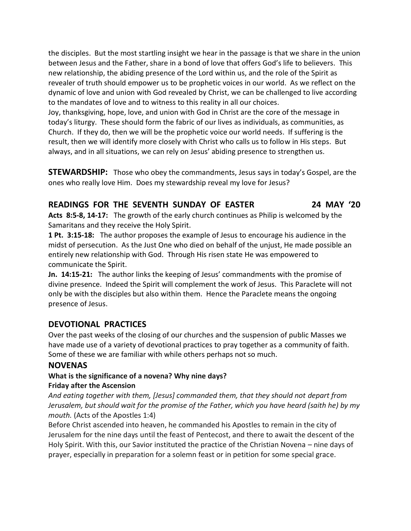the disciples. But the most startling insight we hear in the passage is that we share in the union between Jesus and the Father, share in a bond of love that offers God's life to believers. This new relationship, the abiding presence of the Lord within us, and the role of the Spirit as revealer of truth should empower us to be prophetic voices in our world. As we reflect on the dynamic of love and union with God revealed by Christ, we can be challenged to live according to the mandates of love and to witness to this reality in all our choices.

Joy, thanksgiving, hope, love, and union with God in Christ are the core of the message in today's liturgy. These should form the fabric of our lives as individuals, as communities, as Church. If they do, then we will be the prophetic voice our world needs. If suffering is the result, then we will identify more closely with Christ who calls us to follow in His steps. But always, and in all situations, we can rely on Jesus' abiding presence to strengthen us.

**STEWARDSHIP:** Those who obey the commandments, Jesus says in today's Gospel, are the ones who really love Him. Does my stewardship reveal my love for Jesus?

## **READINGS FOR THE SEVENTH SUNDAY OF EASTER 24 MAY '20**

**Acts 8:5-8, 14-17:** The growth of the early church continues as Philip is welcomed by the Samaritans and they receive the Holy Spirit.

**1 Pt. 3:15-18:** The author proposes the example of Jesus to encourage his audience in the midst of persecution. As the Just One who died on behalf of the unjust, He made possible an entirely new relationship with God. Through His risen state He was empowered to communicate the Spirit.

**Jn. 14:15-21:** The author links the keeping of Jesus' commandments with the promise of divine presence. Indeed the Spirit will complement the work of Jesus. This Paraclete will not only be with the disciples but also within them. Hence the Paraclete means the ongoing presence of Jesus.

# **DEVOTIONAL PRACTICES**

Over the past weeks of the closing of our churches and the suspension of public Masses we have made use of a variety of devotional practices to pray together as a community of faith. Some of these we are familiar with while others perhaps not so much.

# **NOVENAS**

#### **What is the significance of a novena? Why nine days? Friday after the Ascension**

*And eating together with them, [Jesus] commanded them, that they should not depart from Jerusalem, but should wait for the promise of the Father, which you have heard (saith he) by my mouth.* (Acts of the Apostles 1:4)

Before Christ ascended into heaven, he commanded his Apostles to remain in the city of Jerusalem for the nine days until the feast of Pentecost, and there to await the descent of the Holy Spirit. With this, our Savior instituted the practice of the Christian Novena – nine days of prayer, especially in preparation for a solemn feast or in petition for some special grace.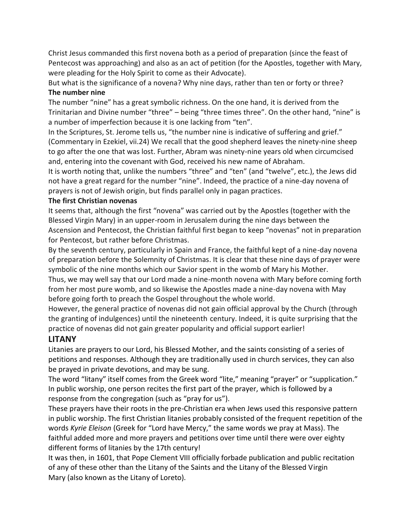Christ Jesus commanded this first novena both as a period of preparation (since the feast of Pentecost was approaching) and also as an act of petition (for the Apostles, together with Mary, were pleading for the Holy Spirit to come as their Advocate).

But what is the significance of a novena? Why nine days, rather than ten or forty or three? **The number nine**

The number "nine" has a great symbolic richness. On the one hand, it is derived from the Trinitarian and Divine number "three" – being "three times three". On the other hand, "nine" is a number of imperfection because it is one lacking from "ten".

In the Scriptures, St. Jerome tells us, "the number nine is indicative of suffering and grief." (Commentary in Ezekiel, vii.24) We recall that the good shepherd leaves the ninety-nine sheep to go after the one that was lost. Further, Abram was ninety-nine years old when circumcised and, entering into the covenant with God, received his new name of Abraham.

It is worth noting that, unlike the numbers "three" and "ten" (and "twelve", etc.), the Jews did not have a great regard for the number "nine". Indeed, the practice of a nine-day novena of prayers is not of Jewish origin, but finds parallel only in pagan practices.

#### **The first Christian novenas**

It seems that, although the first "novena" was carried out by the Apostles (together with the Blessed Virgin Mary) in an upper-room in Jerusalem during the nine days between the Ascension and Pentecost, the Christian faithful first began to keep "novenas" not in preparation for Pentecost, but rather before Christmas.

By the seventh century, particularly in Spain and France, the faithful kept of a nine-day novena of preparation before the Solemnity of Christmas. It is clear that these nine days of prayer were symbolic of the nine months which our Savior spent in the womb of Mary his Mother.

Thus, we may well say that our Lord made a nine-month novena with Mary before coming forth from her most pure womb, and so likewise the Apostles made a nine-day novena with May before going forth to preach the Gospel throughout the whole world.

However, the general practice of novenas did not gain official approval by the Church (through the granting of indulgences) until the nineteenth century. Indeed, it is quite surprising that the practice of novenas did not gain greater popularity and official support earlier!

## **LITANY**

Litanies are prayers to our Lord, his Blessed Mother, and the saints consisting of a series of petitions and responses. Although they are traditionally used in church services, they can also be prayed in private devotions, and may be sung.

The word "litany" itself comes from the Greek word "lite," meaning "prayer" or "supplication." In public worship, one person recites the first part of the prayer, which is followed by a response from the congregation (such as "pray for us").

These prayers have their roots in the pre-Christian era when Jews used this responsive pattern in public worship. The first Christian litanies probably consisted of the frequent repetition of the words *Kyrie Eleison* (Greek for "Lord have Mercy," the same words we pray at Mass). The faithful added more and more prayers and petitions over time until there were over eighty different forms of litanies by the 17th century!

It was then, in 1601, that Pope Clement VIII officially forbade publication and public recitation of any of these other than the Litany of the Saints and the Litany of the Blessed Virgin Mary (also known as the Litany of Loreto).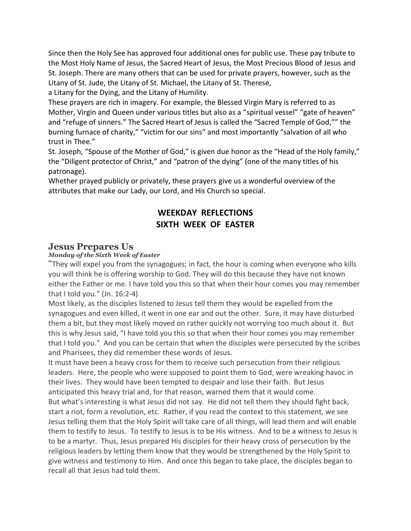Since then the Holy See has approved four additional ones for public use. These pay tribute to the Most Holy Name of Jesus, the Sacred Heart of Jesus, the Most Precious Blood of Jesus and St. Joseph. There are many others that can be used for private prayers, however, such as the Litany of St. Jude, the Litany of St. Michael, the Litany of St. Therese,

a Litany for the Dying, and the Litany of Humility.

These prayers are rich in imagery. For example, the Blessed Virgin Mary is referred to as Mother, Virgin and Queen under various titles but also as a "spiritual vessel" "gate of heaven" and "refuge of sinners." The Sacred Heart of Jesus is called the "Sacred Temple of God,"" the burning furnace of charity," "victim for our sins" and most importantly "salvation of all who trust in Thee."

St. Joseph, "Spouse of the Mother of God," is given due honor as the "Head of the Holy family," the "Diligent protector of Christ," and "patron of the dying" (one of the many titles of his patronage).

Whether prayed publicly or privately, these prayers give us a wonderful overview of the attributes that make our Lady, our Lord, and His Church so special.

# **WEEKDAY REFLECTIONS SIXTH WEEK OF EASTER**

## **Jesus Prepares Us**

## *Monday of the Sixth Week of Easter*

"They will expel you from the synagogues; in fact, the hour is coming when everyone who kills you will think he is offering worship to God. They will do this because they have not known either the Father or me. I have told you this so that when their hour comes you may remember that I told you." (Jn. 16:2-4)

Most likely, as the disciples listened to Jesus tell them they would be expelled from the synagogues and even killed, it went in one ear and out the other. Sure, it may have disturbed them a bit, but they most likely moved on rather quickly not worrying too much about it. But this is why Jesus said, "I have told you this so that when their hour comes you may remember that I told you." And you can be certain that when the disciples were persecuted by the scribes and Pharisees, they did remember these words of Jesus.

It must have been a heavy cross for them to receive such persecution from their religious leaders. Here, the people who were supposed to point them to God, were wreaking havoc in their lives. They would have been tempted to despair and lose their faith. But Jesus anticipated this heavy trial and, for that reason, warned them that it would come. But what's interesting is what Jesus did not say. He did not tell them they should fight back, start a riot, form a revolution, etc. Rather, if you read the context to this statement, we see Jesus telling them that the Holy Spirit will take care of all things, will lead them and will enable them to testify to Jesus. To testify to Jesus is to be His witness. And to be a witness to Jesus is to be a martyr. Thus, Jesus prepared His disciples for their heavy cross of persecution by the religious leaders by letting them know that they would be strengthened by the Holy Spirit to give witness and testimony to Him. And once this began to take place, the disciples began to recall all that Jesus had told them.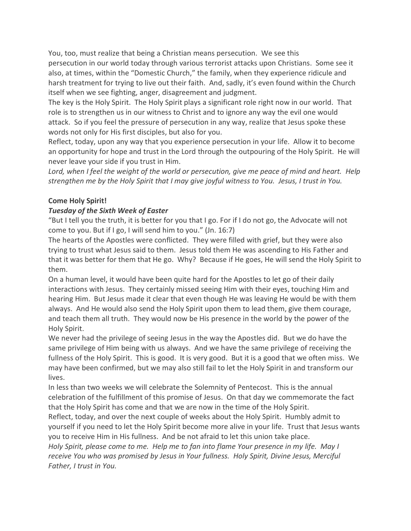You, too, must realize that being a Christian means persecution. We see this persecution in our world today through various terrorist attacks upon Christians. Some see it also, at times, within the "Domestic Church," the family, when they experience ridicule and harsh treatment for trying to live out their faith. And, sadly, it's even found within the Church itself when we see fighting, anger, disagreement and judgment.

The key is the Holy Spirit. The Holy Spirit plays a significant role right now in our world. That role is to strengthen us in our witness to Christ and to ignore any way the evil one would attack. So if you feel the pressure of persecution in any way, realize that Jesus spoke these words not only for His first disciples, but also for you.

Reflect, today, upon any way that you experience persecution in your life. Allow it to become an opportunity for hope and trust in the Lord through the outpouring of the Holy Spirit. He will never leave your side if you trust in Him.

Lord, when I feel the weight of the world or persecution, give me peace of mind and heart. Help strengthen me by the Holy Spirit that I may give joyful witness to You. Jesus, I trust in You.

## **Come Holy Spirit!**

## *Tuesday of the Sixth Week of Easter*

"But I tell you the truth, it is better for you that I go. For if I do not go, the Advocate will not come to you. But if I go, I will send him to you." (Jn. 16:7)

The hearts of the Apostles were conflicted. They were filled with grief, but they were also trying to trust what Jesus said to them. Jesus told them He was ascending to His Father and that it was better for them that He go. Why? Because if He goes, He will send the Holy Spirit to them.

On a human level, it would have been quite hard for the Apostles to let go of their daily interactions with Jesus. They certainly missed seeing Him with their eyes, touching Him and hearing Him. But Jesus made it clear that even though He was leaving He would be with them always. And He would also send the Holy Spirit upon them to lead them, give them courage, and teach them all truth. They would now be His presence in the world by the power of the Holy Spirit.

We never had the privilege of seeing Jesus in the way the Apostles did. But we do have the same privilege of Him being with us always. And we have the same privilege of receiving the fullness of the Holy Spirit. This is good. It is very good. But it is a good that we often miss. We may have been confirmed, but we may also still fail to let the Holy Spirit in and transform our lives.

In less than two weeks we will celebrate the Solemnity of Pentecost. This is the annual celebration of the fulfillment of this promise of Jesus. On that day we commemorate the fact that the Holy Spirit has come and that we are now in the time of the Holy Spirit. Reflect, today, and over the next couple of weeks about the Holy Spirit. Humbly admit to

yourself if you need to let the Holy Spirit become more alive in your life. Trust that Jesus wants you to receive Him in His fullness. And be not afraid to let this union take place.

*Holy Spirit, please come to me. Help me to fan into flame Your presence in my life. May I receive You who was promised by Jesus in Your fullness. Holy Spirit, Divine Jesus, Merciful Father, I trust in You.*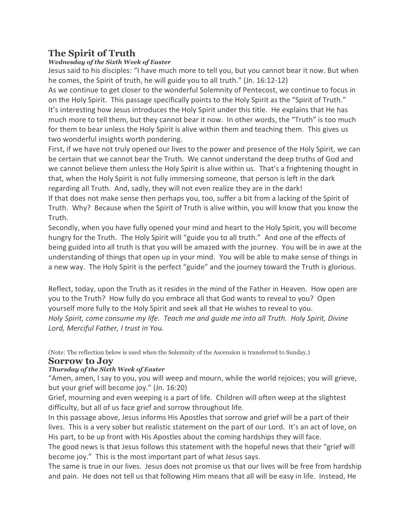# **The Spirit of Truth**

## *Wednesday of the Sixth Week of Easter*

Jesus said to his disciples: "I have much more to tell you, but you cannot bear it now. But when he comes, the Spirit of truth, he will guide you to all truth." (Jn. 16:12-12)

As we continue to get closer to the wonderful Solemnity of Pentecost, we continue to focus in on the Holy Spirit. This passage specifically points to the Holy Spirit as the "Spirit of Truth." It's interesting how Jesus introduces the Holy Spirit under this title. He explains that He has much more to tell them, but they cannot bear it now. In other words, the "Truth" is too much for them to bear unless the Holy Spirit is alive within them and teaching them. This gives us two wonderful insights worth pondering.

First, if we have not truly opened our lives to the power and presence of the Holy Spirit, we can be certain that we cannot bear the Truth. We cannot understand the deep truths of God and we cannot believe them unless the Holy Spirit is alive within us. That's a frightening thought in that, when the Holy Spirit is not fully immersing someone, that person is left in the dark regarding all Truth. And, sadly, they will not even realize they are in the dark!

If that does not make sense then perhaps you, too, suffer a bit from a lacking of the Spirit of Truth. Why? Because when the Spirit of Truth is alive within, you will know that you know the Truth.

Secondly, when you have fully opened your mind and heart to the Holy Spirit, you will become hungry for the Truth. The Holy Spirit will "guide you to all truth." And one of the effects of being guided into all truth is that you will be amazed with the journey. You will be in awe at the understanding of things that open up in your mind. You will be able to make sense of things in a new way. The Holy Spirit is the perfect "guide" and the journey toward the Truth is glorious.

Reflect, today, upon the Truth as it resides in the mind of the Father in Heaven. How open are you to the Truth? How fully do you embrace all that God wants to reveal to you? Open yourself more fully to the Holy Spirit and seek all that He wishes to reveal to you. *Holy Spirit, come consume my life. Teach me and guide me into all Truth. Holy Spirit, Divine Lord, Merciful Father, I trust in You.*

(Note: The reflection below is used when the Solemnity of the Ascension is transferred to Sunday.)

# **Sorrow to Joy**

## *Thursday of the Sixth Week of Easter*

"Amen, amen, I say to you, you will weep and mourn, while the world rejoices; you will grieve, but your grief will become joy." (Jn. 16:20)

Grief, mourning and even weeping is a part of life. Children will often weep at the slightest difficulty, but all of us face grief and sorrow throughout life.

In this passage above, Jesus informs His Apostles that sorrow and grief will be a part of their lives. This is a very sober but realistic statement on the part of our Lord. It's an act of love, on His part, to be up front with His Apostles about the coming hardships they will face.

The good news is that Jesus follows this statement with the hopeful news that their "grief will become joy." This is the most important part of what Jesus says.

The same is true in our lives. Jesus does not promise us that our lives will be free from hardship and pain. He does not tell us that following Him means that all will be easy in life. Instead, He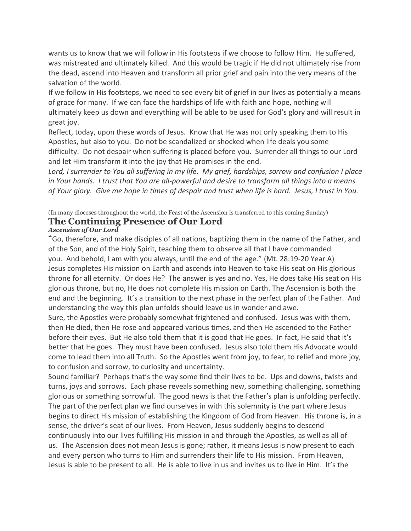wants us to know that we will follow in His footsteps if we choose to follow Him. He suffered, was mistreated and ultimately killed. And this would be tragic if He did not ultimately rise from the dead, ascend into Heaven and transform all prior grief and pain into the very means of the salvation of the world.

If we follow in His footsteps, we need to see every bit of grief in our lives as potentially a means of grace for many. If we can face the hardships of life with faith and hope, nothing will ultimately keep us down and everything will be able to be used for God's glory and will result in great joy.

Reflect, today, upon these words of Jesus. Know that He was not only speaking them to His Apostles, but also to you. Do not be scandalized or shocked when life deals you some difficulty. Do not despair when suffering is placed before you. Surrender all things to our Lord and let Him transform it into the joy that He promises in the end.

Lord, I surrender to You all suffering in my life. My grief, hardships, sorrow and confusion I place *in Your hands. I trust that You are all-powerful and desire to transform all things into a means* of Your glory. Give me hope in times of despair and trust when life is hard. Jesus, I trust in You.

## (In many dioceses throughout the world, the Feast of the Ascension is transferred to this coming Sunday) **The Continuing Presence of Our Lord**

#### *Ascension of Our Lord*

"Go, therefore, and make disciples of all nations, baptizing them in the name of the Father, and of the Son, and of the Holy Spirit, teaching them to observe all that I have commanded you. And behold, I am with you always, until the end of the age." (Mt. 28:19-20 Year A) Jesus completes His mission on Earth and ascends into Heaven to take His seat on His glorious throne for all eternity. Or does He? The answer is yes and no. Yes, He does take His seat on His glorious throne, but no, He does not complete His mission on Earth. The Ascension is both the end and the beginning. It's a transition to the next phase in the perfect plan of the Father. And understanding the way this plan unfolds should leave us in wonder and awe.

Sure, the Apostles were probably somewhat frightened and confused. Jesus was with them, then He died, then He rose and appeared various times, and then He ascended to the Father before their eyes. But He also told them that it is good that He goes. In fact, He said that it's better that He goes. They must have been confused. Jesus also told them His Advocate would come to lead them into all Truth. So the Apostles went from joy, to fear, to relief and more joy, to confusion and sorrow, to curiosity and uncertainty.

Sound familiar? Perhaps that's the way some find their lives to be. Ups and downs, twists and turns, joys and sorrows. Each phase reveals something new, something challenging, something glorious or something sorrowful. The good news is that the Father's plan is unfolding perfectly. The part of the perfect plan we find ourselves in with this solemnity is the part where Jesus begins to direct His mission of establishing the Kingdom of God from Heaven. His throne is, in a sense, the driver's seat of our lives. From Heaven, Jesus suddenly begins to descend continuously into our lives fulfilling His mission in and through the Apostles, as well as all of us. The Ascension does not mean Jesus is gone; rather, it means Jesus is now present to each and every person who turns to Him and surrenders their life to His mission. From Heaven, Jesus is able to be present to all. He is able to live in us and invites us to live in Him. It's the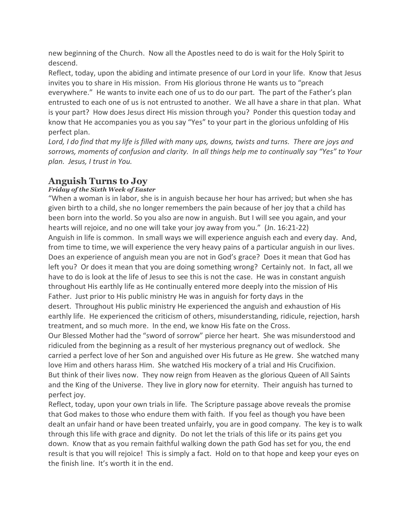new beginning of the Church. Now all the Apostles need to do is wait for the Holy Spirit to descend.

Reflect, today, upon the abiding and intimate presence of our Lord in your life. Know that Jesus invites you to share in His mission. From His glorious throne He wants us to "preach everywhere." He wants to invite each one of us to do our part. The part of the Father's plan entrusted to each one of us is not entrusted to another. We all have a share in that plan. What is your part? How does Jesus direct His mission through you? Ponder this question today and know that He accompanies you as you say "Yes" to your part in the glorious unfolding of His perfect plan.

Lord, I do find that my life is filled with many ups, downs, twists and turns. There are joys and *sorrows, moments of confusion and clarity. In all things help me to continually say "Yes" to Your plan. Jesus, I trust in You.*

# **Anguish Turns to Joy**

## *Friday of the Sixth Week of Easter*

"When a woman is in labor, she is in anguish because her hour has arrived; but when she has given birth to a child, she no longer remembers the pain because of her joy that a child has been born into the world. So you also are now in anguish. But I will see you again, and your hearts will rejoice, and no one will take your joy away from you." (Jn. 16:21-22) Anguish in life is common. In small ways we will experience anguish each and every day. And, from time to time, we will experience the very heavy pains of a particular anguish in our lives. Does an experience of anguish mean you are not in God's grace? Does it mean that God has left you? Or does it mean that you are doing something wrong? Certainly not. In fact, all we have to do is look at the life of Jesus to see this is not the case. He was in constant anguish throughout His earthly life as He continually entered more deeply into the mission of His Father. Just prior to His public ministry He was in anguish for forty days in the desert. Throughout His public ministry He experienced the anguish and exhaustion of His earthly life. He experienced the criticism of others, misunderstanding, ridicule, rejection, harsh treatment, and so much more. In the end, we know His fate on the Cross.

Our Blessed Mother had the "sword of sorrow" pierce her heart. She was misunderstood and ridiculed from the beginning as a result of her mysterious pregnancy out of wedlock. She carried a perfect love of her Son and anguished over His future as He grew. She watched many love Him and others harass Him. She watched His mockery of a trial and His Crucifixion. But think of their lives now. They now reign from Heaven as the glorious Queen of All Saints and the King of the Universe. They live in glory now for eternity. Their anguish has turned to perfect joy.

Reflect, today, upon your own trials in life. The Scripture passage above reveals the promise that God makes to those who endure them with faith. If you feel as though you have been dealt an unfair hand or have been treated unfairly, you are in good company. The key is to walk through this life with grace and dignity. Do not let the trials of this life or its pains get you down. Know that as you remain faithful walking down the path God has set for you, the end result is that you will rejoice! This is simply a fact. Hold on to that hope and keep your eyes on the finish line. It's worth it in the end.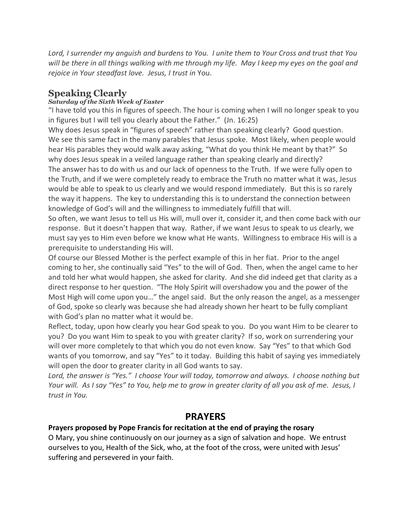Lord, I surrender my anguish and burdens to You. I unite them to Your Cross and trust that You will be there in all things walking with me through my life. May I keep my eyes on the goal and *rejoice in Your steadfast love. Jesus, I trust in* You.

# **Speaking Clearly**

## *Saturday of the Sixth Week of Easter*

"I have told you this in figures of speech. The hour is coming when I will no longer speak to you in figures but I will tell you clearly about the Father." (Jn. 16:25)

Why does Jesus speak in "figures of speech" rather than speaking clearly? Good question. We see this same fact in the many parables that Jesus spoke. Most likely, when people would hear His parables they would walk away asking, "What do you think He meant by that?" So why does Jesus speak in a veiled language rather than speaking clearly and directly? The answer has to do with us and our lack of openness to the Truth. If we were fully open to the Truth, and if we were completely ready to embrace the Truth no matter what it was, Jesus would be able to speak to us clearly and we would respond immediately. But this is so rarely the way it happens. The key to understanding this is to understand the connection between knowledge of God's will and the willingness to immediately fulfill that will.

So often, we want Jesus to tell us His will, mull over it, consider it, and then come back with our response. But it doesn't happen that way. Rather, if we want Jesus to speak to us clearly, we must say yes to Him even before we know what He wants. Willingness to embrace His will is a prerequisite to understanding His will.

Of course our Blessed Mother is the perfect example of this in her fiat. Prior to the angel coming to her, she continually said "Yes" to the will of God. Then, when the angel came to her and told her what would happen, she asked for clarity. And she did indeed get that clarity as a direct response to her question. "The Holy Spirit will overshadow you and the power of the Most High will come upon you…" the angel said. But the only reason the angel, as a messenger of God, spoke so clearly was because she had already shown her heart to be fully compliant with God's plan no matter what it would be.

Reflect, today, upon how clearly you hear God speak to you. Do you want Him to be clearer to you? Do you want Him to speak to you with greater clarity? If so, work on surrendering your will over more completely to that which you do not even know. Say "Yes" to that which God wants of you tomorrow, and say "Yes" to it today. Building this habit of saying yes immediately will open the door to greater clarity in all God wants to say.

*Lord, the answer is "Yes." I choose Your will today, tomorrow and always. I choose nothing but* Your will. As I say "Yes" to You, help me to grow in greater clarity of all you ask of me. Jesus, I *trust in You.*

# **PRAYERS**

## **Prayers proposed by Pope Francis for recitation at the end of praying the rosary**

O Mary, you shine continuously on our journey as a sign of salvation and hope. We entrust ourselves to you, Health of the Sick, who, at the foot of the cross, were united with Jesus' suffering and persevered in your faith.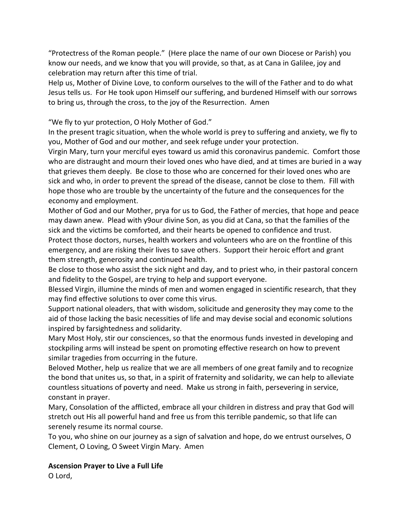"Protectress of the Roman people." (Here place the name of our own Diocese or Parish) you know our needs, and we know that you will provide, so that, as at Cana in Galilee, joy and celebration may return after this time of trial.

Help us, Mother of Divine Love, to conform ourselves to the will of the Father and to do what Jesus tells us. For He took upon Himself our suffering, and burdened Himself with our sorrows to bring us, through the cross, to the joy of the Resurrection. Amen

"We fly to yur protection, O Holy Mother of God."

In the present tragic situation, when the whole world is prey to suffering and anxiety, we fly to you, Mother of God and our mother, and seek refuge under your protection.

Virgin Mary, turn your merciful eyes toward us amid this coronavirus pandemic. Comfort those who are distraught and mourn their loved ones who have died, and at times are buried in a way that grieves them deeply. Be close to those who are concerned for their loved ones who are sick and who, in order to prevent the spread of the disease, cannot be close to them. Fill with hope those who are trouble by the uncertainty of the future and the consequences for the economy and employment.

Mother of God and our Mother, prya for us to God, the Father of mercies, that hope and peace may dawn anew. Plead with y9our divine Son, as you did at Cana, so that the families of the sick and the victims be comforted, and their hearts be opened to confidence and trust. Protect those doctors, nurses, health workers and volunteers who are on the frontline of this emergency, and are risking their lives to save others. Support their heroic effort and grant them strength, generosity and continued health.

Be close to those who assist the sick night and day, and to priest who, in their pastoral concern and fidelity to the Gospel, are trying to help and support everyone.

Blessed Virgin, illumine the minds of men and women engaged in scientific research, that they may find effective solutions to over come this virus.

Support national oleaders, that with wisdom, solicitude and generosity they may come to the aid of those lacking the basic necessities of life and may devise social and economic solutions inspired by farsightedness and solidarity.

Mary Most Holy, stir our consciences, so that the enormous funds invested in developing and stockpiling arms will instead be spent on promoting effective research on how to prevent similar tragedies from occurring in the future.

Beloved Mother, help us realize that we are all members of one great family and to recognize the bond that unites us, so that, in a spirit of fraternity and solidarity, we can help to alleviate countless situations of poverty and need. Make us strong in faith, persevering in service, constant in prayer.

Mary, Consolation of the afflicted, embrace all your children in distress and pray that God will stretch out His all powerful hand and free us from this terrible pandemic, so that life can serenely resume its normal course.

To you, who shine on our journey as a sign of salvation and hope, do we entrust ourselves, O Clement, O Loving, O Sweet Virgin Mary. Amen

## **Ascension Prayer to Live a Full Life**

O Lord,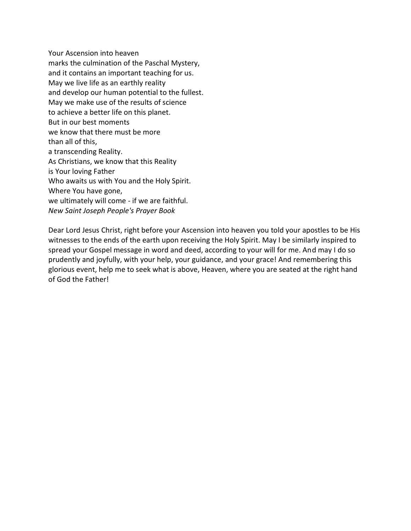Your Ascension into heaven marks the culmination of the Paschal Mystery, and it contains an important teaching for us. May we live life as an earthly reality and develop our human potential to the fullest. May we make use of the results of science to achieve a better life on this planet. But in our best moments we know that there must be more than all of this, a transcending Reality. As Christians, we know that this Reality is Your loving Father Who awaits us with You and the Holy Spirit. Where You have gone, we ultimately will come - if we are faithful. *New Saint Joseph People's Prayer Book*

Dear Lord Jesus Christ, right before your Ascension into heaven you told your apostles to be His witnesses to the ends of the earth upon receiving the Holy Spirit. May I be similarly inspired to spread your Gospel message in word and deed, according to your will for me. And may I do so prudently and joyfully, with your help, your guidance, and your grace! And remembering this glorious event, help me to seek what is above, Heaven, where you are seated at the right hand of God the Father!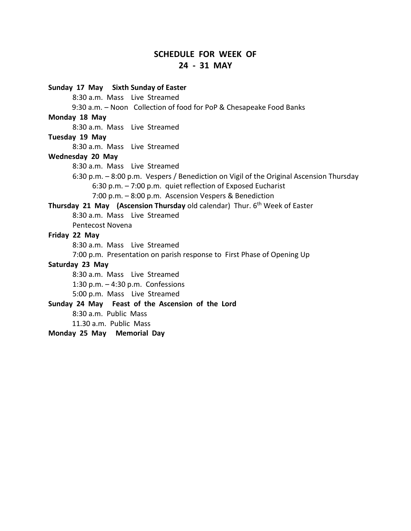## **SCHEDULE FOR WEEK OF 24 - 31 MAY**

**Sunday 17 May Sixth Sunday of Easter** 8:30 a.m. Mass Live Streamed 9:30 a.m. – Noon Collection of food for PoP & Chesapeake Food Banks **Monday 18 May**  8:30 a.m. Mass Live Streamed **Tuesday 19 May** 8:30 a.m. Mass Live Streamed **Wednesday 20 May** 8:30 a.m. Mass Live Streamed 6:30 p.m. – 8:00 p.m. Vespers / Benediction on Vigil of the Original Ascension Thursday 6:30 p.m. – 7:00 p.m. quiet reflection of Exposed Eucharist 7:00 p.m. – 8:00 p.m. Ascension Vespers & Benediction **Thursday 21 May (Ascension Thursday** old calendar) Thur. 6<sup>th</sup> Week of Easter 8:30 a.m. Mass Live Streamed Pentecost Novena **Friday 22 May** 8:30 a.m. Mass Live Streamed 7:00 p.m. Presentation on parish response to First Phase of Opening Up **Saturday 23 May** 8:30 a.m. Mass Live Streamed 1:30 p.m. – 4:30 p.m. Confessions 5:00 p.m. Mass Live Streamed **Sunday 24 May Feast of the Ascension of the Lord** 8:30 a.m. Public Mass 11.30 a.m. Public Mass **Monday 25 May Memorial Day**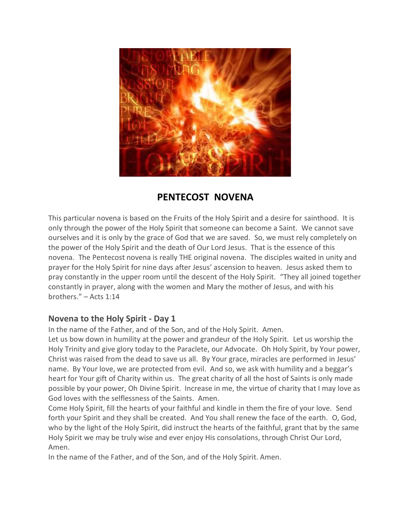

# **PENTECOST NOVENA**

This particular novena is based on the Fruits of the Holy Spirit and a desire for sainthood. It is only through the power of the Holy Spirit that someone can become a Saint. We cannot save ourselves and it is only by the grace of God that we are saved. So, we must rely completely on the power of the Holy Spirit and the death of Our Lord Jesus. That is the essence of this novena. The Pentecost novena is really THE original novena. The disciples waited in unity and prayer for the Holy Spirit for nine days after Jesus' ascension to heaven. Jesus asked them to pray constantly in the upper room until the descent of the Holy Spirit. "They all joined together constantly in prayer, along with the women and Mary the mother of Jesus, and with his brothers." – Acts 1:14

# **Novena to the Holy Spirit - Day 1**

In the name of the Father, and of the Son, and of the Holy Spirit. Amen.

Let us bow down in humility at the power and grandeur of the Holy Spirit. Let us worship the Holy Trinity and give glory today to the Paraclete, our Advocate. Oh Holy Spirit, by Your power, Christ was raised from the dead to save us all. By Your grace, miracles are performed in Jesus' name. By Your love, we are protected from evil. And so, we ask with humility and a beggar's heart for Your gift of Charity within us. The great charity of all the host of Saints is only made possible by your power, Oh Divine Spirit. Increase in me, the virtue of charity that I may love as God loves with the selflessness of the Saints. Amen.

Come Holy Spirit, fill the hearts of your faithful and kindle in them the fire of your love. Send forth your Spirit and they shall be created. And You shall renew the face of the earth. O, God, who by the light of the Holy Spirit, did instruct the hearts of the faithful, grant that by the same Holy Spirit we may be truly wise and ever enjoy His consolations, through Christ Our Lord, Amen.

In the name of the Father, and of the Son, and of the Holy Spirit. Amen.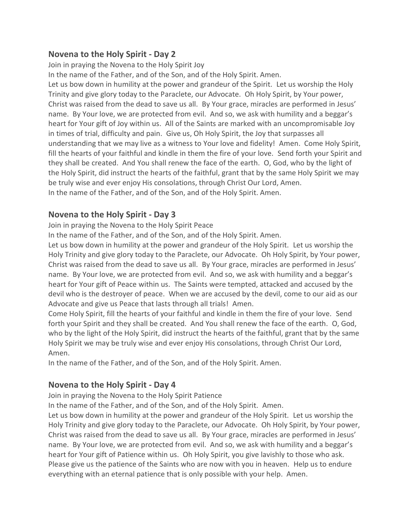## **Novena to the Holy Spirit - Day 2**

Join in praying the Novena to the Holy Spirit Joy

In the name of the Father, and of the Son, and of the Holy Spirit. Amen.

Let us bow down in humility at the power and grandeur of the Spirit. Let us worship the Holy Trinity and give glory today to the Paraclete, our Advocate. Oh Holy Spirit, by Your power, Christ was raised from the dead to save us all. By Your grace, miracles are performed in Jesus' name. By Your love, we are protected from evil. And so, we ask with humility and a beggar's heart for Your gift of Joy within us. All of the Saints are marked with an uncompromisable Joy in times of trial, difficulty and pain. Give us, Oh Holy Spirit, the Joy that surpasses all understanding that we may live as a witness to Your love and fidelity! Amen. Come Holy Spirit, fill the hearts of your faithful and kindle in them the fire of your love. Send forth your Spirit and they shall be created. And You shall renew the face of the earth. O, God, who by the light of the Holy Spirit, did instruct the hearts of the faithful, grant that by the same Holy Spirit we may be truly wise and ever enjoy His consolations, through Christ Our Lord, Amen. In the name of the Father, and of the Son, and of the Holy Spirit. Amen.

# **Novena to the Holy Spirit - Day 3**

Join in praying the Novena to the Holy Spirit Peace

In the name of the Father, and of the Son, and of the Holy Spirit. Amen.

Let us bow down in humility at the power and grandeur of the Holy Spirit. Let us worship the Holy Trinity and give glory today to the Paraclete, our Advocate. Oh Holy Spirit, by Your power, Christ was raised from the dead to save us all. By Your grace, miracles are performed in Jesus' name. By Your love, we are protected from evil. And so, we ask with humility and a beggar's heart for Your gift of Peace within us. The Saints were tempted, attacked and accused by the devil who is the destroyer of peace. When we are accused by the devil, come to our aid as our Advocate and give us Peace that lasts through all trials! Amen.

Come Holy Spirit, fill the hearts of your faithful and kindle in them the fire of your love. Send forth your Spirit and they shall be created. And You shall renew the face of the earth. O, God, who by the light of the Holy Spirit, did instruct the hearts of the faithful, grant that by the same Holy Spirit we may be truly wise and ever enjoy His consolations, through Christ Our Lord, Amen.

In the name of the Father, and of the Son, and of the Holy Spirit. Amen.

# **Novena to the Holy Spirit - Day 4**

Join in praying the Novena to the Holy Spirit Patience

In the name of the Father, and of the Son, and of the Holy Spirit. Amen.

Let us bow down in humility at the power and grandeur of the Holy Spirit. Let us worship the Holy Trinity and give glory today to the Paraclete, our Advocate. Oh Holy Spirit, by Your power, Christ was raised from the dead to save us all. By Your grace, miracles are performed in Jesus' name. By Your love, we are protected from evil. And so, we ask with humility and a beggar's heart for Your gift of Patience within us. Oh Holy Spirit, you give lavishly to those who ask. Please give us the patience of the Saints who are now with you in heaven. Help us to endure everything with an eternal patience that is only possible with your help. Amen.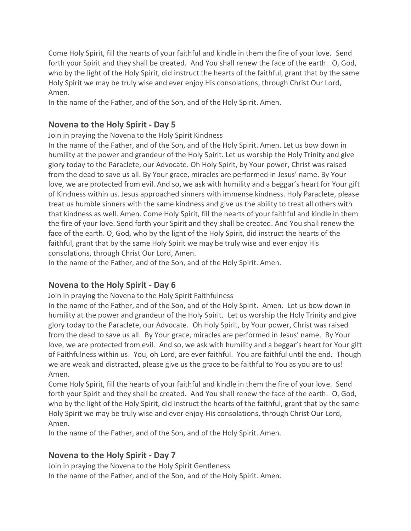Come Holy Spirit, fill the hearts of your faithful and kindle in them the fire of your love. Send forth your Spirit and they shall be created. And You shall renew the face of the earth. O, God, who by the light of the Holy Spirit, did instruct the hearts of the faithful, grant that by the same Holy Spirit we may be truly wise and ever enjoy His consolations, through Christ Our Lord, Amen.

In the name of the Father, and of the Son, and of the Holy Spirit. Amen.

# **Novena to the Holy Spirit - Day 5**

Join in praying the Novena to the Holy Spirit Kindness

In the name of the Father, and of the Son, and of the Holy Spirit. Amen. Let us bow down in humility at the power and grandeur of the Holy Spirit. Let us worship the Holy Trinity and give glory today to the Paraclete, our Advocate. Oh Holy Spirit, by Your power, Christ was raised from the dead to save us all. By Your grace, miracles are performed in Jesus' name. By Your love, we are protected from evil. And so, we ask with humility and a beggar's heart for Your gift of Kindness within us. Jesus approached sinners with immense kindness. Holy Paraclete, please treat us humble sinners with the same kindness and give us the ability to treat all others with that kindness as well. Amen. Come Holy Spirit, fill the hearts of your faithful and kindle in them the fire of your love. Send forth your Spirit and they shall be created. And You shall renew the face of the earth. O, God, who by the light of the Holy Spirit, did instruct the hearts of the faithful, grant that by the same Holy Spirit we may be truly wise and ever enjoy His consolations, through Christ Our Lord, Amen.

In the name of the Father, and of the Son, and of the Holy Spirit. Amen.

# **Novena to the Holy Spirit - Day 6**

Join in praying the Novena to the Holy Spirit Faithfulness

In the name of the Father, and of the Son, and of the Holy Spirit. Amen. Let us bow down in humility at the power and grandeur of the Holy Spirit. Let us worship the Holy Trinity and give glory today to the Paraclete, our Advocate. Oh Holy Spirit, by Your power, Christ was raised from the dead to save us all. By Your grace, miracles are performed in Jesus' name. By Your love, we are protected from evil. And so, we ask with humility and a beggar's heart for Your gift of Faithfulness within us. You, oh Lord, are ever faithful. You are faithful until the end. Though we are weak and distracted, please give us the grace to be faithful to You as you are to us! Amen.

Come Holy Spirit, fill the hearts of your faithful and kindle in them the fire of your love. Send forth your Spirit and they shall be created. And You shall renew the face of the earth. O, God, who by the light of the Holy Spirit, did instruct the hearts of the faithful, grant that by the same Holy Spirit we may be truly wise and ever enjoy His consolations, through Christ Our Lord, Amen.

In the name of the Father, and of the Son, and of the Holy Spirit. Amen.

# **Novena to the Holy Spirit - Day 7**

Join in praying the Novena to the Holy Spirit Gentleness In the name of the Father, and of the Son, and of the Holy Spirit. Amen.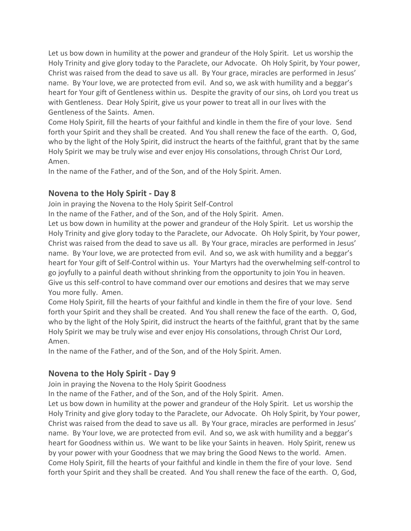Let us bow down in humility at the power and grandeur of the Holy Spirit. Let us worship the Holy Trinity and give glory today to the Paraclete, our Advocate. Oh Holy Spirit, by Your power, Christ was raised from the dead to save us all. By Your grace, miracles are performed in Jesus' name. By Your love, we are protected from evil. And so, we ask with humility and a beggar's heart for Your gift of Gentleness within us. Despite the gravity of our sins, oh Lord you treat us with Gentleness. Dear Holy Spirit, give us your power to treat all in our lives with the Gentleness of the Saints. Amen.

Come Holy Spirit, fill the hearts of your faithful and kindle in them the fire of your love. Send forth your Spirit and they shall be created. And You shall renew the face of the earth. O, God, who by the light of the Holy Spirit, did instruct the hearts of the faithful, grant that by the same Holy Spirit we may be truly wise and ever enjoy His consolations, through Christ Our Lord, Amen.

In the name of the Father, and of the Son, and of the Holy Spirit. Amen.

## **Novena to the Holy Spirit - Day 8**

Join in praying the Novena to the Holy Spirit Self-Control

In the name of the Father, and of the Son, and of the Holy Spirit. Amen.

Let us bow down in humility at the power and grandeur of the Holy Spirit. Let us worship the Holy Trinity and give glory today to the Paraclete, our Advocate. Oh Holy Spirit, by Your power, Christ was raised from the dead to save us all. By Your grace, miracles are performed in Jesus' name. By Your love, we are protected from evil. And so, we ask with humility and a beggar's heart for Your gift of Self-Control within us. Your Martyrs had the overwhelming self-control to go joyfully to a painful death without shrinking from the opportunity to join You in heaven. Give us this self-control to have command over our emotions and desires that we may serve You more fully. Amen.

Come Holy Spirit, fill the hearts of your faithful and kindle in them the fire of your love. Send forth your Spirit and they shall be created. And You shall renew the face of the earth. O, God, who by the light of the Holy Spirit, did instruct the hearts of the faithful, grant that by the same Holy Spirit we may be truly wise and ever enjoy His consolations, through Christ Our Lord, Amen.

In the name of the Father, and of the Son, and of the Holy Spirit. Amen.

# **Novena to the Holy Spirit - Day 9**

Join in praying the Novena to the Holy Spirit Goodness

In the name of the Father, and of the Son, and of the Holy Spirit. Amen.

Let us bow down in humility at the power and grandeur of the Holy Spirit. Let us worship the Holy Trinity and give glory today to the Paraclete, our Advocate. Oh Holy Spirit, by Your power, Christ was raised from the dead to save us all. By Your grace, miracles are performed in Jesus' name. By Your love, we are protected from evil. And so, we ask with humility and a beggar's heart for Goodness within us. We want to be like your Saints in heaven. Holy Spirit, renew us by your power with your Goodness that we may bring the Good News to the world. Amen. Come Holy Spirit, fill the hearts of your faithful and kindle in them the fire of your love. Send forth your Spirit and they shall be created. And You shall renew the face of the earth. O, God,